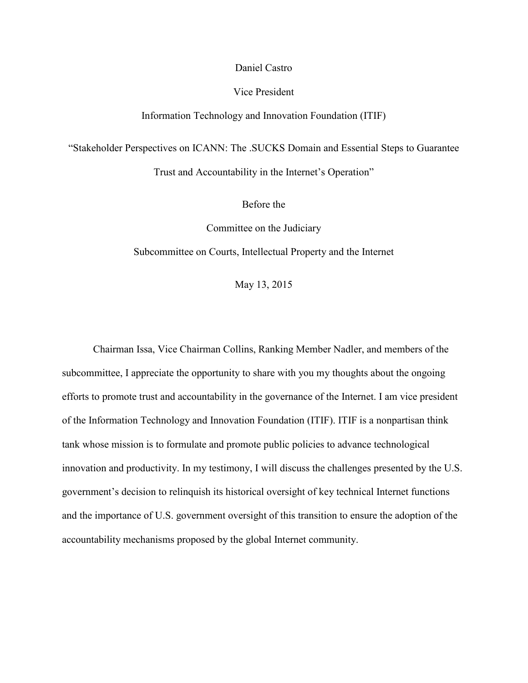## Daniel Castro

# Vice President

#### Information Technology and Innovation Foundation (ITIF)

"Stakeholder Perspectives on ICANN: The .SUCKS Domain and Essential Steps to Guarantee

Trust and Accountability in the Internet's Operation"

Before the

Committee on the Judiciary

Subcommittee on Courts, Intellectual Property and the Internet

May 13, 2015

Chairman Issa, Vice Chairman Collins, Ranking Member Nadler, and members of the subcommittee, I appreciate the opportunity to share with you my thoughts about the ongoing efforts to promote trust and accountability in the governance of the Internet. I am vice president of the Information Technology and Innovation Foundation (ITIF). ITIF is a nonpartisan think tank whose mission is to formulate and promote public policies to advance technological innovation and productivity. In my testimony, I will discuss the challenges presented by the U.S. government's decision to relinquish its historical oversight of key technical Internet functions and the importance of U.S. government oversight of this transition to ensure the adoption of the accountability mechanisms proposed by the global Internet community.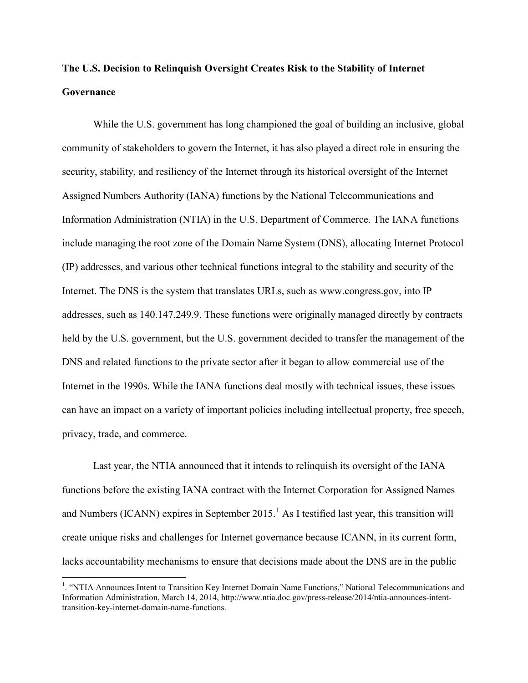# **The U.S. Decision to Relinquish Oversight Creates Risk to the Stability of Internet Governance**

While the U.S. government has long championed the goal of building an inclusive, global community of stakeholders to govern the Internet, it has also played a direct role in ensuring the security, stability, and resiliency of the Internet through its historical oversight of the Internet Assigned Numbers Authority (IANA) functions by the National Telecommunications and Information Administration (NTIA) in the U.S. Department of Commerce. The IANA functions include managing the root zone of the Domain Name System (DNS), allocating Internet Protocol (IP) addresses, and various other technical functions integral to the stability and security of the Internet. The DNS is the system that translates URLs, such as www.congress.gov, into IP addresses, such as 140.147.249.9. These functions were originally managed directly by contracts held by the U.S. government, but the U.S. government decided to transfer the management of the DNS and related functions to the private sector after it began to allow commercial use of the Internet in the 1990s. While the IANA functions deal mostly with technical issues, these issues can have an impact on a variety of important policies including intellectual property, free speech, privacy, trade, and commerce.

Last year, the NTIA announced that it intends to relinquish its oversight of the IANA functions before the existing IANA contract with the Internet Corporation for Assigned Names and Numbers (ICANN) expires in September 20[1](#page-1-0)5.<sup>1</sup> As I testified last year, this transition will create unique risks and challenges for Internet governance because ICANN, in its current form, lacks accountability mechanisms to ensure that decisions made about the DNS are in the public

<span id="page-1-0"></span> $\frac{1}{1}$ <sup>1</sup>. "NTIA Announces Intent to Transition Key Internet Domain Name Functions," National Telecommunications and Information Administration, March 14, 2014, http://www.ntia.doc.gov/press-release/2014/ntia-announces-intenttransition-key-internet-domain-name-functions.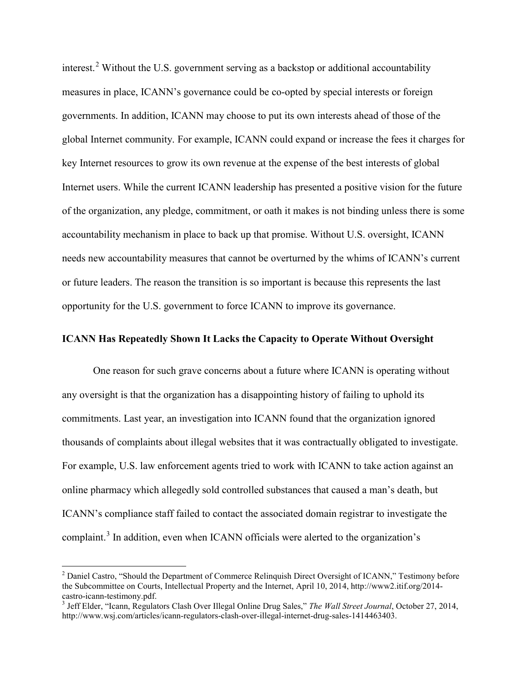interest.<sup>[2](#page-2-0)</sup> Without the U.S. government serving as a backstop or additional accountability measures in place, ICANN's governance could be co-opted by special interests or foreign governments. In addition, ICANN may choose to put its own interests ahead of those of the global Internet community. For example, ICANN could expand or increase the fees it charges for key Internet resources to grow its own revenue at the expense of the best interests of global Internet users. While the current ICANN leadership has presented a positive vision for the future of the organization, any pledge, commitment, or oath it makes is not binding unless there is some accountability mechanism in place to back up that promise. Without U.S. oversight, ICANN needs new accountability measures that cannot be overturned by the whims of ICANN's current or future leaders. The reason the transition is so important is because this represents the last opportunity for the U.S. government to force ICANN to improve its governance.

## **ICANN Has Repeatedly Shown It Lacks the Capacity to Operate Without Oversight**

One reason for such grave concerns about a future where ICANN is operating without any oversight is that the organization has a disappointing history of failing to uphold its commitments. Last year, an investigation into ICANN found that the organization ignored thousands of complaints about illegal websites that it was contractually obligated to investigate. For example, U.S. law enforcement agents tried to work with ICANN to take action against an online pharmacy which allegedly sold controlled substances that caused a man's death, but ICANN's compliance staff failed to contact the associated domain registrar to investigate the complaint.<sup>[3](#page-2-1)</sup> In addition, even when ICANN officials were alerted to the organization's

<span id="page-2-0"></span><sup>&</sup>lt;sup>2</sup> Daniel Castro, "Should the Department of Commerce Relinquish Direct Oversight of ICANN," Testimony before the Subcommittee on Courts, Intellectual Property and the Internet, April 10, 2014, http://www2.itif.org/2014 castro-icann-testimony.pdf. <sup>3</sup> Jeff Elder, "Icann, Regulators Clash Over Illegal Online Drug Sales," *The Wall Street Journal*, October 27, 2014,

<span id="page-2-1"></span>http://www.wsj.com/articles/icann-regulators-clash-over-illegal-internet-drug-sales-1414463403.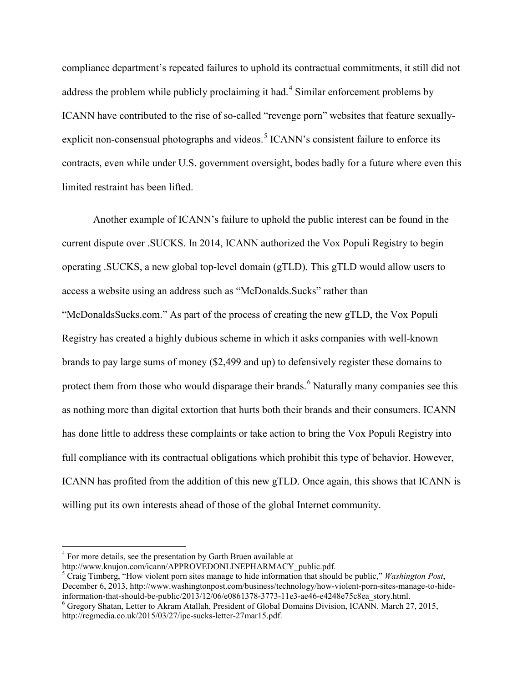compliance department's repeated failures to uphold its contractual commitments, it still did not address the problem while publicly proclaiming it had. [4](#page-3-0) Similar enforcement problems by ICANN have contributed to the rise of so-called "revenge porn" websites that feature sexually-explicit non-consensual photographs and videos.<sup>[5](#page-3-1)</sup> ICANN's consistent failure to enforce its contracts, even while under U.S. government oversight, bodes badly for a future where even this limited restraint has been lifted.

Another example of ICANN's failure to uphold the public interest can be found in the current dispute over .SUCKS. In 2014, ICANN authorized the Vox Populi Registry to begin operating .SUCKS, a new global top-level domain (gTLD). This gTLD would allow users to access a website using an address such as "McDonalds.Sucks" rather than "McDonaldsSucks.com." As part of the process of creating the new gTLD, the Vox Populi Registry has created a highly dubious scheme in which it asks companies with well-known brands to pay large sums of money (\$2,499 and up) to defensively register these domains to protect them from those who would disparage their brands.<sup>[6](#page-3-2)</sup> Naturally many companies see this as nothing more than digital extortion that hurts both their brands and their consumers. ICANN has done little to address these complaints or take action to bring the Vox Populi Registry into full compliance with its contractual obligations which prohibit this type of behavior. However, ICANN has profited from the addition of this new gTLD. Once again, this shows that ICANN is willing put its own interests ahead of those of the global Internet community.

<span id="page-3-0"></span> $4$  For more details, see the presentation by Garth Bruen available at http://www.knujon.com/icann/APPROVEDONLINEPHARMACY public.pdf.

<span id="page-3-1"></span><sup>&</sup>lt;sup>5</sup> Craig Timberg, "How violent porn sites manage to hide information that should be public," *Washington Post*, December 6, 2013, http://www.washingtonpost.com/business/technology/how-violent-porn-sites-manage-to-hide-information-that-should-be-public/2013/12/06/e0861378-3773-11e3-ae46-e4248e75c8ea\_story.html.

<span id="page-3-2"></span> $\delta$  Gregory Shatan, Letter to Akram Atallah, President of Global Domains Division, ICANN. March 27, 2015, http://regmedia.co.uk/2015/03/27/ipc-sucks-letter-27mar15.pdf.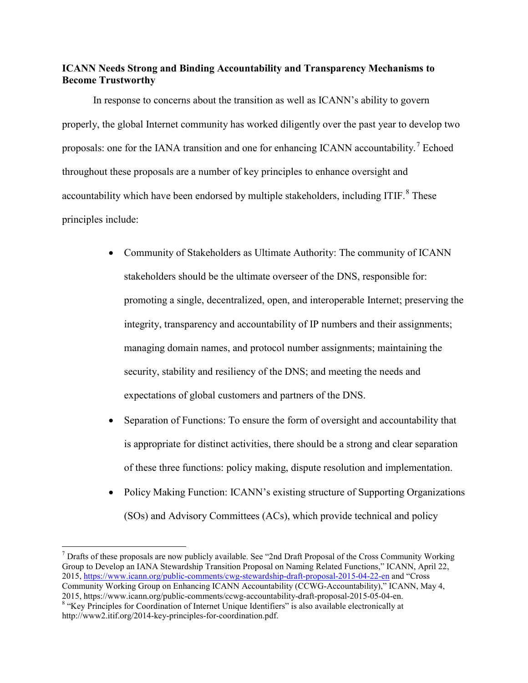# **ICANN Needs Strong and Binding Accountability and Transparency Mechanisms to Become Trustworthy**

In response to concerns about the transition as well as ICANN's ability to govern properly, the global Internet community has worked diligently over the past year to develop two proposals: one for the IANA transition and one for enhancing ICANN accountability.<sup>[7](#page-4-0)</sup> Echoed throughout these proposals are a number of key principles to enhance oversight and accountability which have been endorsed by multiple stakeholders, including ITIF.<sup>[8](#page-4-1)</sup> These principles include:

- Community of Stakeholders as Ultimate Authority: The community of ICANN stakeholders should be the ultimate overseer of the DNS, responsible for: promoting a single, decentralized, open, and interoperable Internet; preserving the integrity, transparency and accountability of IP numbers and their assignments; managing domain names, and protocol number assignments; maintaining the security, stability and resiliency of the DNS; and meeting the needs and expectations of global customers and partners of the DNS.
- Separation of Functions: To ensure the form of oversight and accountability that is appropriate for distinct activities, there should be a strong and clear separation of these three functions: policy making, dispute resolution and implementation.
- Policy Making Function: ICANN's existing structure of Supporting Organizations (SOs) and Advisory Committees (ACs), which provide technical and policy

<span id="page-4-0"></span> <sup>7</sup> Drafts of these proposals are now publicly available. See "2nd Draft Proposal of the Cross Community Working Group to Develop an IANA Stewardship Transition Proposal on Naming Related Functions," ICANN, April 22, 2015,<https://www.icann.org/public-comments/cwg-stewardship-draft-proposal-2015-04-22-en> and "Cross

Community Working Group on Enhancing ICANN Accountability (CCWG-Accountability)," ICANN, May 4, 2015, https://www.icann.org/public-comments/ccwg-accountability-draft-proposal-2015-05-04-en.  $8$  "Kev Principles for Coordination of Internet Unique Identifiers" is also available electronically at

<span id="page-4-1"></span>http://www2.itif.org/2014-key-principles-for-coordination.pdf.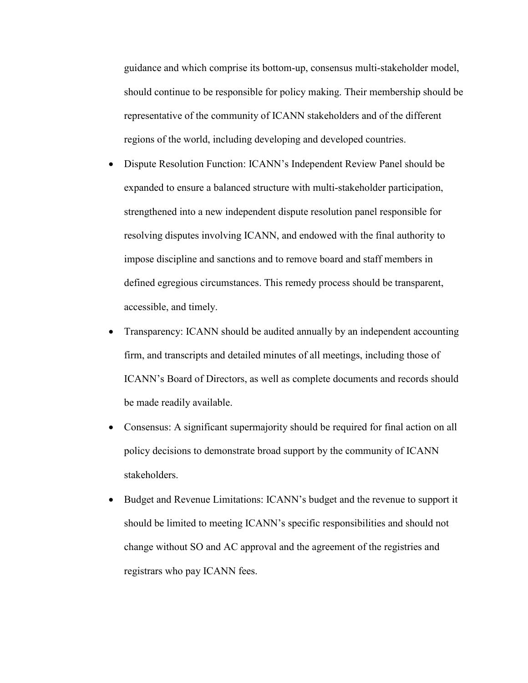guidance and which comprise its bottom-up, consensus multi-stakeholder model, should continue to be responsible for policy making. Their membership should be representative of the community of ICANN stakeholders and of the different regions of the world, including developing and developed countries.

- Dispute Resolution Function: ICANN's Independent Review Panel should be expanded to ensure a balanced structure with multi-stakeholder participation, strengthened into a new independent dispute resolution panel responsible for resolving disputes involving ICANN, and endowed with the final authority to impose discipline and sanctions and to remove board and staff members in defined egregious circumstances. This remedy process should be transparent, accessible, and timely.
- Transparency: ICANN should be audited annually by an independent accounting firm, and transcripts and detailed minutes of all meetings, including those of ICANN's Board of Directors, as well as complete documents and records should be made readily available.
- Consensus: A significant supermajority should be required for final action on all policy decisions to demonstrate broad support by the community of ICANN stakeholders.
- Budget and Revenue Limitations: ICANN's budget and the revenue to support it should be limited to meeting ICANN's specific responsibilities and should not change without SO and AC approval and the agreement of the registries and registrars who pay ICANN fees.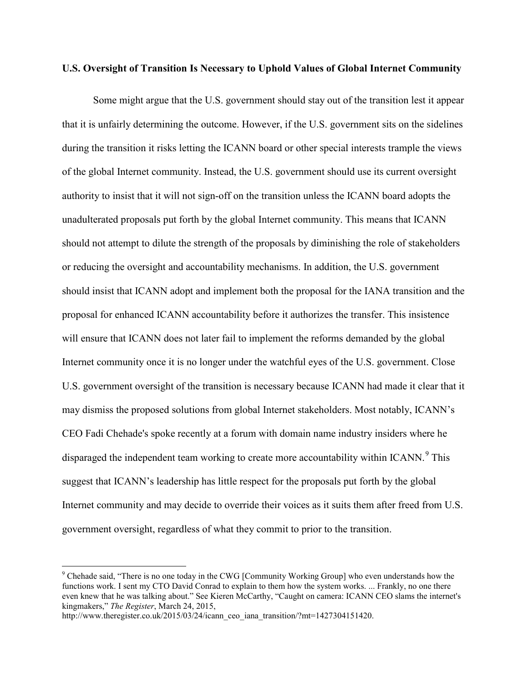#### **U.S. Oversight of Transition Is Necessary to Uphold Values of Global Internet Community**

Some might argue that the U.S. government should stay out of the transition lest it appear that it is unfairly determining the outcome. However, if the U.S. government sits on the sidelines during the transition it risks letting the ICANN board or other special interests trample the views of the global Internet community. Instead, the U.S. government should use its current oversight authority to insist that it will not sign-off on the transition unless the ICANN board adopts the unadulterated proposals put forth by the global Internet community. This means that ICANN should not attempt to dilute the strength of the proposals by diminishing the role of stakeholders or reducing the oversight and accountability mechanisms. In addition, the U.S. government should insist that ICANN adopt and implement both the proposal for the IANA transition and the proposal for enhanced ICANN accountability before it authorizes the transfer. This insistence will ensure that ICANN does not later fail to implement the reforms demanded by the global Internet community once it is no longer under the watchful eyes of the U.S. government. Close U.S. government oversight of the transition is necessary because ICANN had made it clear that it may dismiss the proposed solutions from global Internet stakeholders. Most notably, ICANN's CEO Fadi Chehade's spoke recently at a forum with domain name industry insiders where he disparaged the independent team working to create more accountability within ICANN.<sup>[9](#page-6-0)</sup> This suggest that ICANN's leadership has little respect for the proposals put forth by the global Internet community and may decide to override their voices as it suits them after freed from U.S. government oversight, regardless of what they commit to prior to the transition.

<span id="page-6-0"></span> <sup>9</sup> Chehade said, "There is no one today in the CWG [Community Working Group] who even understands how the functions work. I sent my CTO David Conrad to explain to them how the system works. ... Frankly, no one there even knew that he was talking about." See Kieren McCarthy, "Caught on camera: ICANN CEO slams the internet's kingmakers," *The Register*, March 24, 2015,

http://www.theregister.co.uk/2015/03/24/icann\_ceo\_iana\_transition/?mt=1427304151420.